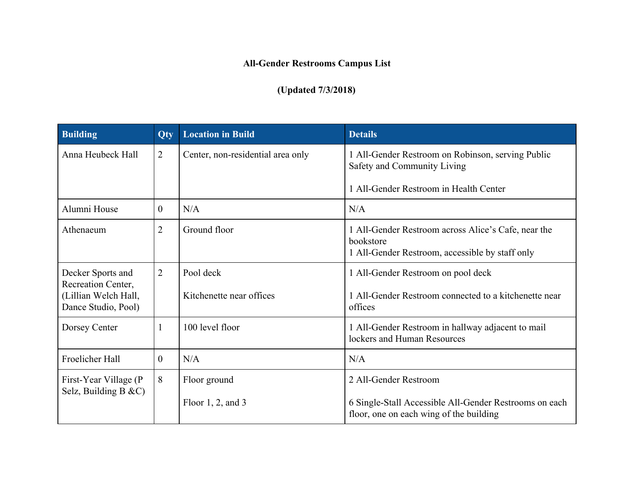## **All-Gender Restrooms Campus List**

## **(Updated 7/3/2018)**

| <b>Building</b>                                                                        | <b>Qty</b>     | <b>Location in Build</b>               | <b>Details</b>                                                                                                             |
|----------------------------------------------------------------------------------------|----------------|----------------------------------------|----------------------------------------------------------------------------------------------------------------------------|
| Anna Heubeck Hall                                                                      | 2              | Center, non-residential area only      | 1 All-Gender Restroom on Robinson, serving Public<br>Safety and Community Living                                           |
|                                                                                        |                |                                        | 1 All-Gender Restroom in Health Center                                                                                     |
| Alumni House                                                                           | $\theta$       | N/A                                    | N/A                                                                                                                        |
| Athenaeum                                                                              | $\overline{2}$ | Ground floor                           | 1 All-Gender Restroom across Alice's Cafe, near the<br>bookstore<br>1 All-Gender Restroom, accessible by staff only        |
| Decker Sports and<br>Recreation Center,<br>(Lillian Welch Hall,<br>Dance Studio, Pool) | $\overline{2}$ | Pool deck<br>Kitchenette near offices  | 1 All-Gender Restroom on pool deck<br>1 All-Gender Restroom connected to a kitchenette near<br>offices                     |
| Dorsey Center                                                                          | -1             | 100 level floor                        | 1 All-Gender Restroom in hallway adjacent to mail<br>lockers and Human Resources                                           |
| Froelicher Hall                                                                        | $\theta$       | N/A                                    | N/A                                                                                                                        |
| First-Year Village (P<br>Selz, Building B $&c$ C)                                      | 8              | Floor ground<br>Floor $1, 2$ , and $3$ | 2 All-Gender Restroom<br>6 Single-Stall Accessible All-Gender Restrooms on each<br>floor, one on each wing of the building |